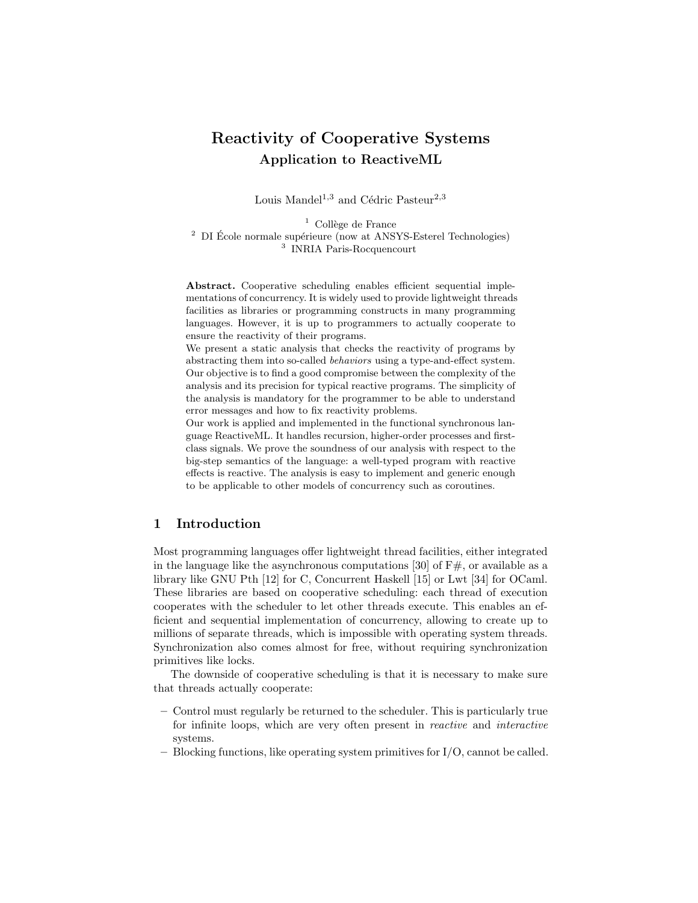# Reactivity of Cooperative Systems Application to ReactiveML

Louis Mandel<sup>1,3</sup> and Cédric Pasteur<sup>2,3</sup>

 $1$  Collège de France  $2$  DI École normale supérieure (now at ANSYS-Esterel Technologies) 3 INRIA Paris-Rocquencourt

Abstract. Cooperative scheduling enables efficient sequential implementations of concurrency. It is widely used to provide lightweight threads facilities as libraries or programming constructs in many programming languages. However, it is up to programmers to actually cooperate to ensure the reactivity of their programs.

We present a static analysis that checks the reactivity of programs by abstracting them into so-called behaviors using a type-and-effect system. Our objective is to find a good compromise between the complexity of the analysis and its precision for typical reactive programs. The simplicity of the analysis is mandatory for the programmer to be able to understand error messages and how to fix reactivity problems.

Our work is applied and implemented in the functional synchronous language ReactiveML. It handles recursion, higher-order processes and firstclass signals. We prove the soundness of our analysis with respect to the big-step semantics of the language: a well-typed program with reactive effects is reactive. The analysis is easy to implement and generic enough to be applicable to other models of concurrency such as coroutines.

# 1 Introduction

Most programming languages offer lightweight thread facilities, either integrated in the language like the asynchronous computations [\[30\]](#page-17-0) of  $F#$ , or available as a library like GNU Pth [\[12\]](#page-16-0) for C, Concurrent Haskell [\[15\]](#page-16-1) or Lwt [\[34\]](#page-17-1) for OCaml. These libraries are based on cooperative scheduling: each thread of execution cooperates with the scheduler to let other threads execute. This enables an efficient and sequential implementation of concurrency, allowing to create up to millions of separate threads, which is impossible with operating system threads. Synchronization also comes almost for free, without requiring synchronization primitives like locks.

The downside of cooperative scheduling is that it is necessary to make sure that threads actually cooperate:

- Control must regularly be returned to the scheduler. This is particularly true for infinite loops, which are very often present in reactive and interactive systems.
- $-$  Blocking functions, like operating system primitives for  $I/O$ , cannot be called.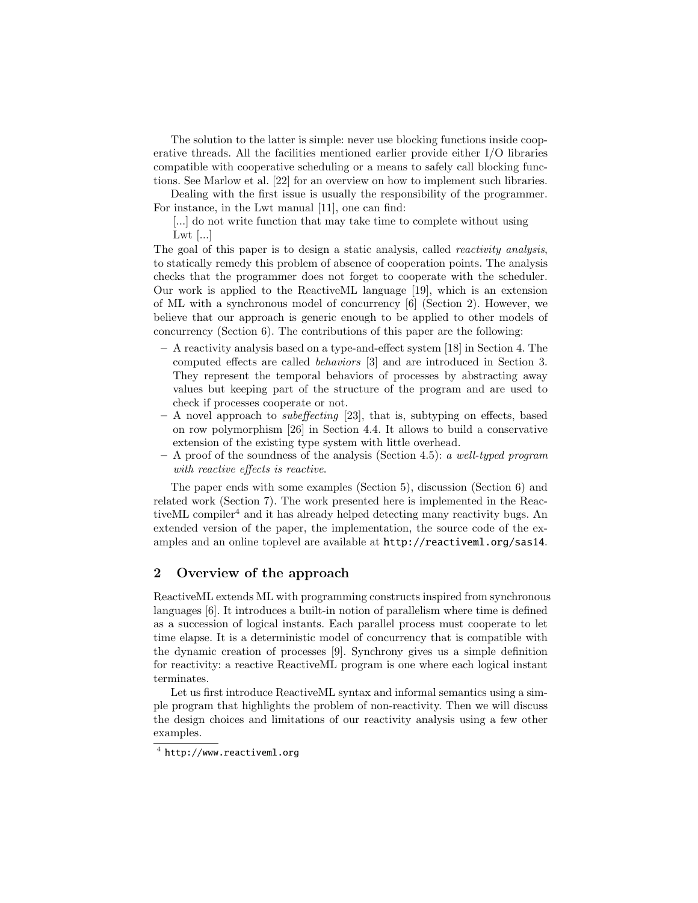The solution to the latter is simple: never use blocking functions inside cooperative threads. All the facilities mentioned earlier provide either I/O libraries compatible with cooperative scheduling or a means to safely call blocking functions. See Marlow et al. [\[22\]](#page-16-2) for an overview on how to implement such libraries.

Dealing with the first issue is usually the responsibility of the programmer. For instance, in the Lwt manual [\[11\]](#page-16-3), one can find:

[...] do not write function that may take time to complete without using Lwt  $\left[\ldots\right]$ 

The goal of this paper is to design a static analysis, called reactivity analysis, to statically remedy this problem of absence of cooperation points. The analysis checks that the programmer does not forget to cooperate with the scheduler. Our work is applied to the ReactiveML language [\[19\]](#page-16-4), which is an extension of ML with a synchronous model of concurrency [\[6\]](#page-16-5) (Section [2\)](#page-1-0). However, we believe that our approach is generic enough to be applied to other models of concurrency (Section [6\)](#page-14-0). The contributions of this paper are the following:

- A reactivity analysis based on a type-and-effect system [\[18\]](#page-16-6) in Section [4.](#page-7-0) The computed effects are called behaviors [\[3\]](#page-16-7) and are introduced in Section [3.](#page-4-0) They represent the temporal behaviors of processes by abstracting away values but keeping part of the structure of the program and are used to check if processes cooperate or not.
- $-$  A novel approach to *subeffecting* [\[23\]](#page-16-8), that is, subtyping on effects, based on row polymorphism [\[26\]](#page-17-2) in Section [4.4.](#page-10-0) It allows to build a conservative extension of the existing type system with little overhead.
- $-$  A proof of the soundness of the analysis (Section [4.5\)](#page-11-0): a well-typed program with reactive effects is reactive.

The paper ends with some examples (Section [5\)](#page-12-0), discussion (Section [6\)](#page-13-0) and related work (Section [7\)](#page-14-1). The work presented here is implemented in the Reac-tiveML compiler<sup>[4](#page-1-1)</sup> and it has already helped detecting many reactivity bugs. An extended version of the paper, the implementation, the source code of the examples and an online toplevel are available at <http://reactiveml.org/sas14>.

# <span id="page-1-0"></span>2 Overview of the approach

ReactiveML extends ML with programming constructs inspired from synchronous languages [\[6\]](#page-16-5). It introduces a built-in notion of parallelism where time is defined as a succession of logical instants. Each parallel process must cooperate to let time elapse. It is a deterministic model of concurrency that is compatible with the dynamic creation of processes [\[9\]](#page-16-9). Synchrony gives us a simple definition for reactivity: a reactive ReactiveML program is one where each logical instant terminates.

Let us first introduce ReactiveML syntax and informal semantics using a simple program that highlights the problem of non-reactivity. Then we will discuss the design choices and limitations of our reactivity analysis using a few other examples.

<span id="page-1-1"></span> $^4$  <http://www.reactiveml.org>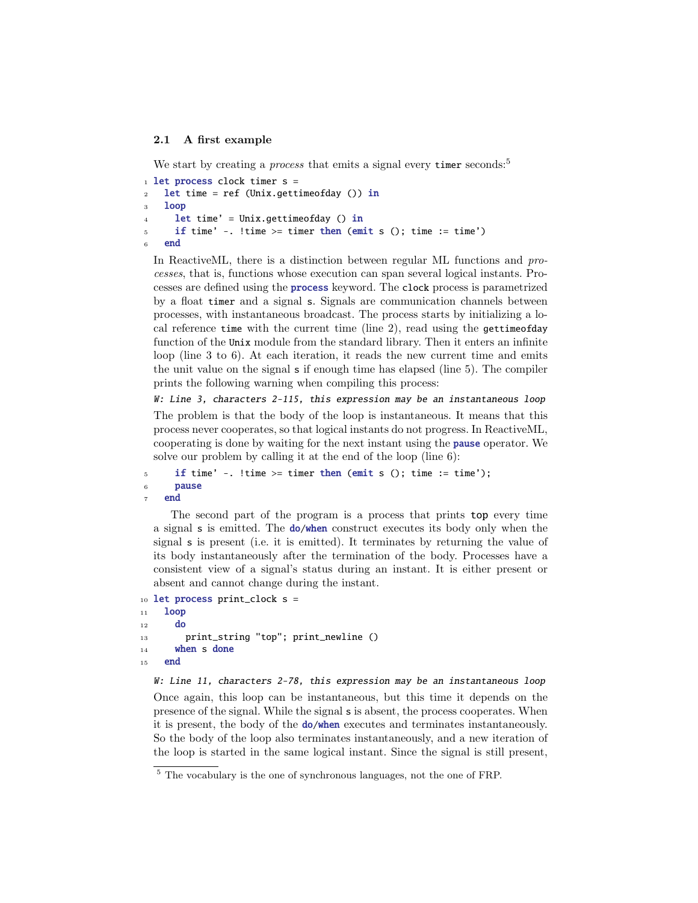### <span id="page-2-1"></span>2.1 A first example

We start by creating a *process* that emits a signal every **timer** seconds:<sup>[5](#page-2-0)</sup>

```
_1 let process clock timer s =
2 let time = ref (Unix.gettimeofday ()) in
3 loop
4 let time' = Unix.gettimeofday () in
5 if time' -. !time >= timer then (emit s (); time := time')
6 end
```
In ReactiveML, there is a distinction between regular ML functions and processes, that is, functions whose execution can span several logical instants. Processes are defined using the process keyword. The clock process is parametrized by a float timer and a signal s. Signals are communication channels between processes, with instantaneous broadcast. The process starts by initializing a local reference time with the current time (line 2), read using the gettimeofday function of the Unix module from the standard library. Then it enters an infinite loop (line 3 to 6). At each iteration, it reads the new current time and emits the unit value on the signal s if enough time has elapsed (line 5). The compiler prints the following warning when compiling this process:

W: Line 3, characters 2-115, this expression may be an instantaneous loop The problem is that the body of the loop is instantaneous. It means that this process never cooperates, so that logical instants do not progress. In ReactiveML, cooperating is done by waiting for the next instant using the pause operator. We solve our problem by calling it at the end of the loop (line 6):

```
5 if time' -. !time >= timer then (emit s (); time := time');
6 pause
```

```
end
```
The second part of the program is a process that prints top every time a signal s is emitted. The do/when construct executes its body only when the signal s is present (i.e. it is emitted). It terminates by returning the value of its body instantaneously after the termination of the body. Processes have a consistent view of a signal's status during an instant. It is either present or absent and cannot change during the instant.

```
10 let process print_clock s =
```

```
11 loop
12 do
13 print_string "top"; print_newline ()
14 when s done
15 end
```
W: Line 11, characters 2-78, this expression may be an instantaneous loop Once again, this loop can be instantaneous, but this time it depends on the presence of the signal. While the signal s is absent, the process cooperates. When it is present, the body of the do/when executes and terminates instantaneously. So the body of the loop also terminates instantaneously, and a new iteration of the loop is started in the same logical instant. Since the signal is still present,

<span id="page-2-0"></span><sup>&</sup>lt;sup>5</sup> The vocabulary is the one of synchronous languages, not the one of FRP.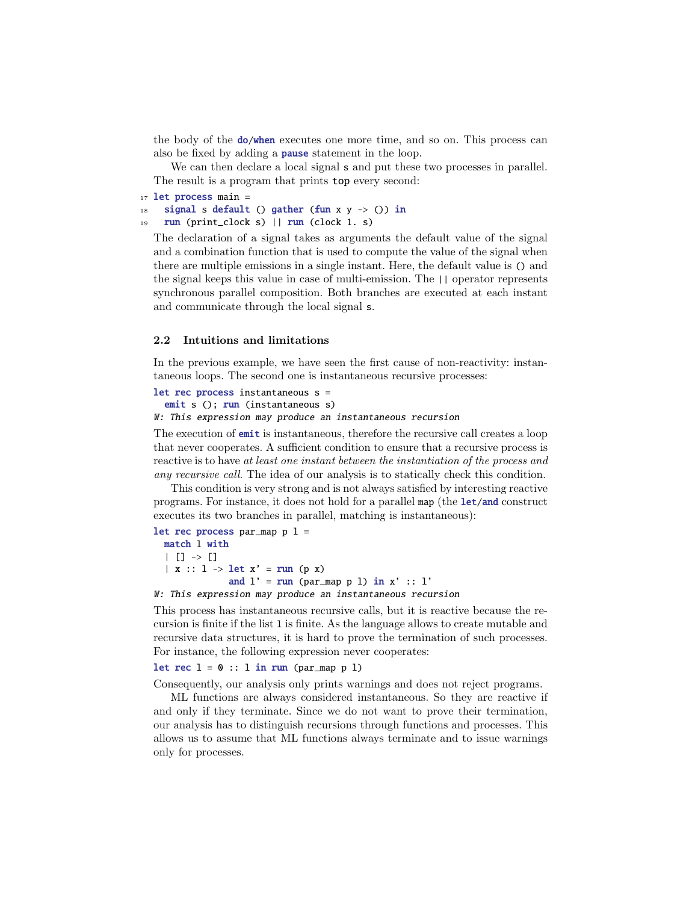the body of the do/when executes one more time, and so on. This process can also be fixed by adding a **pause** statement in the loop.

We can then declare a local signal s and put these two processes in parallel. The result is a program that prints top every second:

```
17 let process main =
```

```
18 signal s default () gather (fun x y \rightarrow ()) in
```
<sup>19</sup> run (print\_clock s) || run (clock 1. s)

The declaration of a signal takes as arguments the default value of the signal and a combination function that is used to compute the value of the signal when there are multiple emissions in a single instant. Here, the default value is () and the signal keeps this value in case of multi-emission. The || operator represents synchronous parallel composition. Both branches are executed at each instant and communicate through the local signal s.

### <span id="page-3-0"></span>2.2 Intuitions and limitations

In the previous example, we have seen the first cause of non-reactivity: instantaneous loops. The second one is instantaneous recursive processes:

```
let rec process instantaneous s =
  emit s (); run (instantaneous s)
```

```
W: This expression may produce an instantaneous recursion
```
The execution of **emit** is instantaneous, therefore the recursive call creates a loop that never cooperates. A sufficient condition to ensure that a recursive process is reactive is to have at least one instant between the instantiation of the process and any recursive call. The idea of our analysis is to statically check this condition.

This condition is very strong and is not always satisfied by interesting reactive programs. For instance, it does not hold for a parallel map (the let/and construct executes its two branches in parallel, matching is instantaneous):

```
let rec process par_map p 1 =match l with
  | [ ] \rightarrow [ ]\vert x :: \mathbb{1} \rightarrow \text{let } x' = \text{run } (p x)and l' = run (par_map p 1) in x' :: l'
```
W: This expression may produce an instantaneous recursion

This process has instantaneous recursive calls, but it is reactive because the recursion is finite if the list l is finite. As the language allows to create mutable and recursive data structures, it is hard to prove the termination of such processes. For instance, the following expression never cooperates:

#### let rec  $l = 0$  :: l in run (par\_map p l)

Consequently, our analysis only prints warnings and does not reject programs.

ML functions are always considered instantaneous. So they are reactive if and only if they terminate. Since we do not want to prove their termination, our analysis has to distinguish recursions through functions and processes. This allows us to assume that ML functions always terminate and to issue warnings only for processes.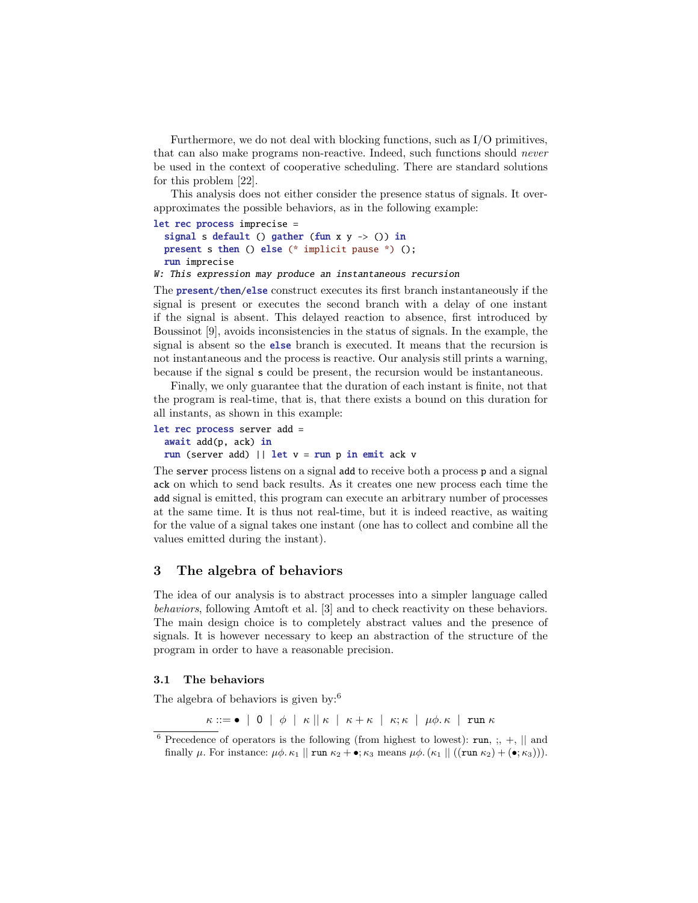Furthermore, we do not deal with blocking functions, such as I/O primitives, that can also make programs non-reactive. Indeed, such functions should never be used in the context of cooperative scheduling. There are standard solutions for this problem [\[22\]](#page-16-2).

This analysis does not either consider the presence status of signals. It overapproximates the possible behaviors, as in the following example:

```
let rec process imprecise =
  signal s default () gather (fun x y \rightarrow ()) in
 present s then () else (* implicit pause *) ();
 run imprecise
```
W: This expression may produce an instantaneous recursion

The present/then/else construct executes its first branch instantaneously if the signal is present or executes the second branch with a delay of one instant if the signal is absent. This delayed reaction to absence, first introduced by Boussinot [\[9\]](#page-16-9), avoids inconsistencies in the status of signals. In the example, the signal is absent so the else branch is executed. It means that the recursion is not instantaneous and the process is reactive. Our analysis still prints a warning, because if the signal s could be present, the recursion would be instantaneous.

Finally, we only guarantee that the duration of each instant is finite, not that the program is real-time, that is, that there exists a bound on this duration for all instants, as shown in this example:

```
let rec process server add =
 await add(p, ack) in
 run (server add) || let v = run p in emit ack v
```
The server process listens on a signal add to receive both a process p and a signal ack on which to send back results. As it creates one new process each time the add signal is emitted, this program can execute an arbitrary number of processes at the same time. It is thus not real-time, but it is indeed reactive, as waiting for the value of a signal takes one instant (one has to collect and combine all the values emitted during the instant).

# <span id="page-4-0"></span>3 The algebra of behaviors

The idea of our analysis is to abstract processes into a simpler language called behaviors, following Amtoft et al. [\[3\]](#page-16-7) and to check reactivity on these behaviors. The main design choice is to completely abstract values and the presence of signals. It is however necessary to keep an abstraction of the structure of the program in order to have a reasonable precision.

### <span id="page-4-2"></span>3.1 The behaviors

The algebra of behaviors is given by:<sup>[6](#page-4-1)</sup>

 $\kappa ::= \bullet \ \mid \ 0 \ \mid \ \phi \ \mid \ \kappa \parallel \kappa \ \mid \ \kappa + \kappa \ \mid \ \kappa; \kappa \ \mid \ \mu \phi. \ \kappa \ \mid \ \mathrm{run} \ \kappa$ 

<span id="page-4-1"></span><sup>&</sup>lt;sup>6</sup> Precedence of operators is the following (from highest to lowest): run, ;, +, || and finally  $\mu$ . For instance:  $\mu \phi$ .  $\kappa_1 \parallel \text{run } \kappa_2 + \bullet; \kappa_3$  means  $\mu \phi$ .  $(\kappa_1 \parallel ((\text{run } \kappa_2) + (\bullet; \kappa_3))).$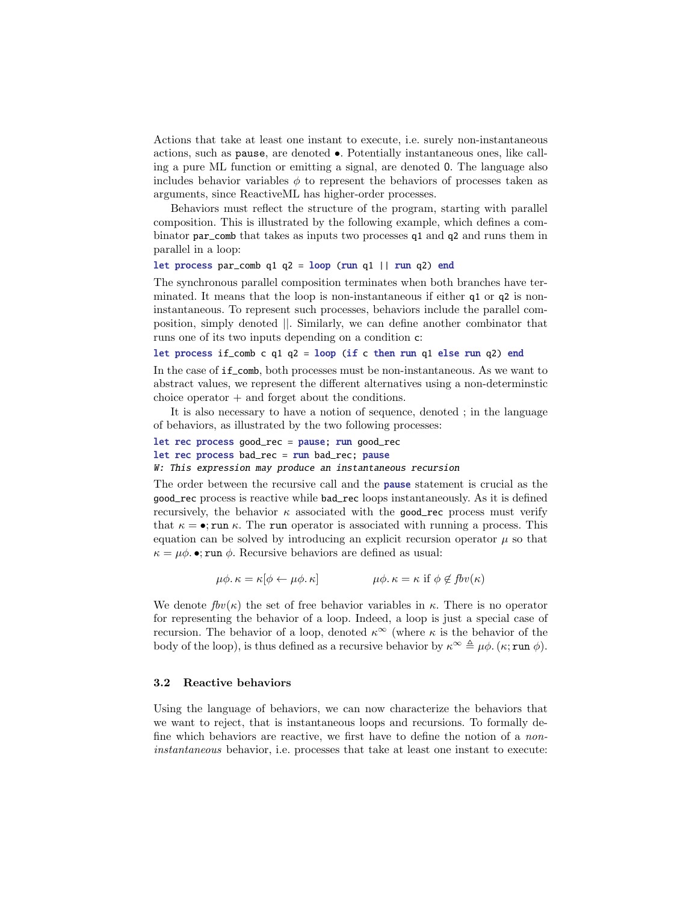Actions that take at least one instant to execute, i.e. surely non-instantaneous actions, such as pause, are denoted •. Potentially instantaneous ones, like calling a pure ML function or emitting a signal, are denoted 0. The language also includes behavior variables  $\phi$  to represent the behaviors of processes taken as arguments, since ReactiveML has higher-order processes.

Behaviors must reflect the structure of the program, starting with parallel composition. This is illustrated by the following example, which defines a combinator par\_comb that takes as inputs two processes q1 and q2 and runs them in parallel in a loop:

#### let process par\_comb q1  $q2 = loop$  (run  $q1 || run q2$ ) end

The synchronous parallel composition terminates when both branches have terminated. It means that the loop is non-instantaneous if either q1 or q2 is noninstantaneous. To represent such processes, behaviors include the parallel composition, simply denoted ||. Similarly, we can define another combinator that runs one of its two inputs depending on a condition c:

### let process if\_comb c q1 q2 = loop (if c then run q1 else run q2) end

In the case of if\_comb, both processes must be non-instantaneous. As we want to abstract values, we represent the different alternatives using a non-determinstic  $choice operator + and forget about the conditions.$ 

It is also necessary to have a notion of sequence, denoted ; in the language of behaviors, as illustrated by the two following processes:

```
let rec process good_rec = pause; run good_rec
let rec process bad_rec = run bad_rec; pause
```
W: This expression may produce an instantaneous recursion

The order between the recursive call and the pause statement is crucial as the good\_rec process is reactive while bad\_rec loops instantaneously. As it is defined recursively, the behavior  $\kappa$  associated with the good\_rec process must verify that  $\kappa = \bullet$ ; run  $\kappa$ . The run operator is associated with running a process. This equation can be solved by introducing an explicit recursion operator  $\mu$  so that  $\kappa = \mu \phi$ . •; run  $\phi$ . Recursive behaviors are defined as usual:

$$
\mu\phi. \kappa = \kappa[\phi \leftarrow \mu\phi. \kappa] \qquad \mu\phi. \kappa = \kappa \text{ if } \phi \notin \text{fbv}(\kappa)
$$

We denote  $fbv(\kappa)$  the set of free behavior variables in  $\kappa$ . There is no operator for representing the behavior of a loop. Indeed, a loop is just a special case of recursion. The behavior of a loop, denoted  $\kappa^{\infty}$  (where  $\kappa$  is the behavior of the body of the loop), is thus defined as a recursive behavior by  $\kappa^{\infty} \triangleq \mu \phi$ . ( $\kappa$ ; run  $\phi$ ).

### <span id="page-5-0"></span>3.2 Reactive behaviors

Using the language of behaviors, we can now characterize the behaviors that we want to reject, that is instantaneous loops and recursions. To formally define which behaviors are reactive, we first have to define the notion of a noninstantaneous behavior, i.e. processes that take at least one instant to execute: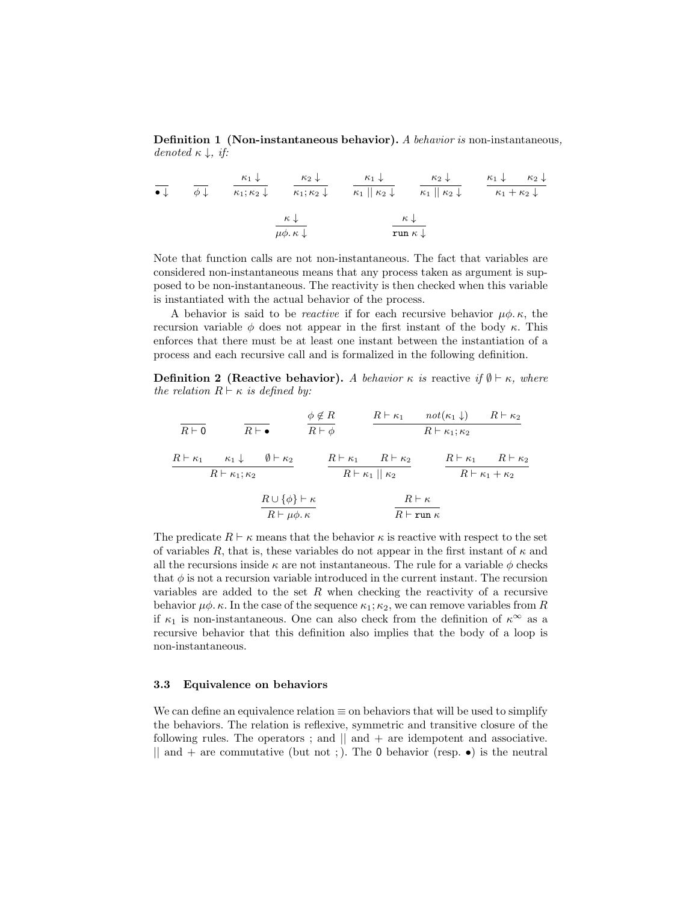Definition 1 (Non-instantaneous behavior). A behavior is non-instantaneous, denoted  $\kappa \downarrow$ , if:

$$
\overline{\bullet\downarrow} \quad \overline{\phi\downarrow} \quad \frac{\kappa_1\downarrow}{\kappa_1;\kappa_2\downarrow} \quad \frac{\kappa_2\downarrow}{\kappa_1;\kappa_2\downarrow} \quad \frac{\kappa_1\downarrow}{\kappa_1 \parallel \kappa_2\downarrow} \quad \frac{\kappa_2\downarrow}{\kappa_1 \parallel \kappa_2\downarrow} \quad \frac{\kappa_2\downarrow}{\kappa_1 \parallel \kappa_2\downarrow} \quad \frac{\kappa_1\downarrow}{\kappa_1+\kappa_2\downarrow}
$$

Note that function calls are not non-instantaneous. The fact that variables are considered non-instantaneous means that any process taken as argument is supposed to be non-instantaneous. The reactivity is then checked when this variable is instantiated with the actual behavior of the process.

A behavior is said to be *reactive* if for each recursive behavior  $\mu\phi$ .  $\kappa$ , the recursion variable  $\phi$  does not appear in the first instant of the body  $\kappa$ . This enforces that there must be at least one instant between the instantiation of a process and each recursive call and is formalized in the following definition.

**Definition 2 (Reactive behavior).** A behavior  $\kappa$  is reactive if  $\emptyset \vdash \kappa$ , where the relation  $R \vdash \kappa$  is defined by:

| $R \vdash 0$                      | $R \vdash \bullet$    | $\phi \notin R$             | $R \vdash \kappa_1$ | $not(\kappa_1 \downarrow)$ | $R \vdash \kappa_2$ |
|-----------------------------------|-----------------------|-----------------------------|---------------------|----------------------------|---------------------|
| $R \vdash \kappa_1$               | $\kappa_1 \downarrow$ | $\emptyset \vdash \kappa_2$ | $R \vdash \kappa_1$ | $R \vdash \kappa_1$        | $\kappa_2$          |
| $R \vdash \kappa_1$               | $\kappa_2$            | $R \vdash \kappa_1$         | $R \vdash \kappa_2$ | $R \vdash \kappa_1$        | $R \vdash \kappa_2$ |
| $R \vdash \kappa_1$               | $\kappa_2$            | $R \vdash \kappa_1$         | $R \vdash \kappa_2$ |                            |                     |
| $R \vdash \kappa_1$               | $\kappa_2$            | $R \vdash \kappa_1$         | $R \vdash \kappa_2$ |                            |                     |
| $R \vdash \mu \phi \ldash \kappa$ | $R \vdash \kappa$     | $R \vdash \kappa$           |                     |                            |                     |

The predicate  $R \vdash \kappa$  means that the behavior  $\kappa$  is reactive with respect to the set of variables R, that is, these variables do not appear in the first instant of  $\kappa$  and all the recursions inside  $\kappa$  are not instantaneous. The rule for a variable  $\phi$  checks that  $\phi$  is not a recursion variable introduced in the current instant. The recursion variables are added to the set  $R$  when checking the reactivity of a recursive behavior  $\mu\phi$ .  $\kappa$ . In the case of the sequence  $\kappa_1$ ;  $\kappa_2$ , we can remove variables from R if  $\kappa_1$  is non-instantaneous. One can also check from the definition of  $\kappa^\infty$  as a recursive behavior that this definition also implies that the body of a loop is non-instantaneous.

#### 3.3 Equivalence on behaviors

We can define an equivalence relation  $\equiv$  on behaviors that will be used to simplify the behaviors. The relation is reflexive, symmetric and transitive closure of the following rules. The operators ; and  $\parallel$  and  $+$  are idempotent and associative.  $\parallel$  and  $+$  are commutative (but not ; ). The 0 behavior (resp.  $\bullet$ ) is the neutral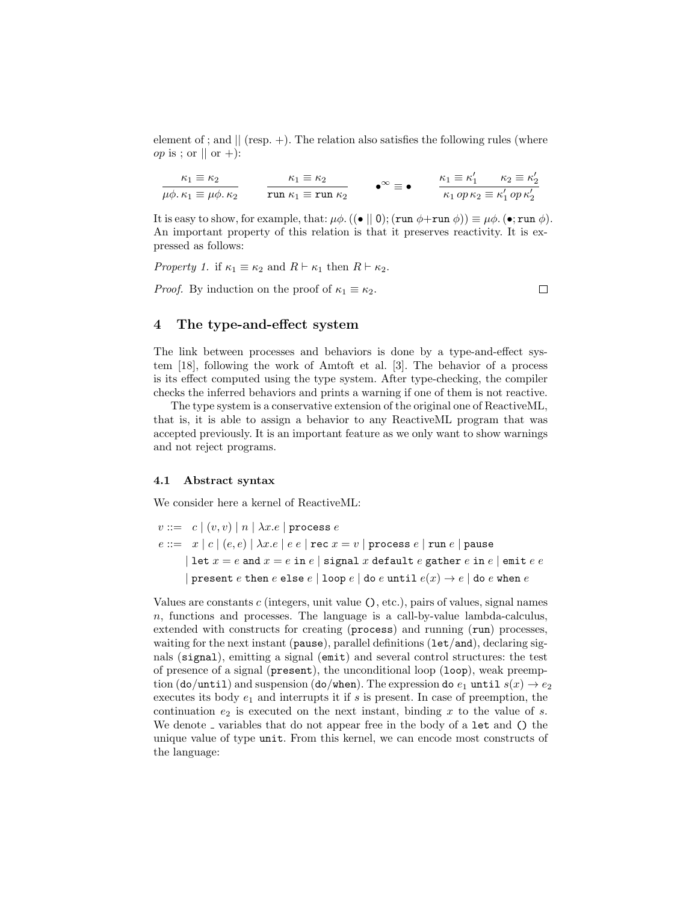element of ; and  $\parallel$  (resp.  $+$ ). The relation also satisfies the following rules (where *op* is ; or  $||$  or  $+$ ):

$$
\frac{\kappa_1 \equiv \kappa_2}{\mu \phi.\, \kappa_1 \equiv \mu \phi.\, \kappa_2} \qquad \frac{\kappa_1 \equiv \kappa_2}{\text{run } \kappa_1 \equiv \text{run } \kappa_2} \qquad \bullet^\infty \equiv \bullet \qquad \frac{\kappa_1 \equiv \kappa_1' \qquad \kappa_2 \equiv \kappa_2'}{\kappa_1 \, op \, \kappa_2 \equiv \kappa_1' \, op \, \kappa_2'}
$$

It is easy to show, for example, that:  $\mu\phi$ . ((• || 0); (run  $\phi$ +run  $\phi$ ))  $\equiv \mu\phi$ . (•; run  $\phi$ ). An important property of this relation is that it preserves reactivity. It is expressed as follows:

*Property 1.* if  $\kappa_1 \equiv \kappa_2$  and  $R \vdash \kappa_1$  then  $R \vdash \kappa_2$ .

*Proof.* By induction on the proof of  $\kappa_1 \equiv \kappa_2$ .

 $\Box$ 

# <span id="page-7-0"></span>4 The type-and-effect system

The link between processes and behaviors is done by a type-and-effect system [\[18\]](#page-16-6), following the work of Amtoft et al. [\[3\]](#page-16-7). The behavior of a process is its effect computed using the type system. After type-checking, the compiler checks the inferred behaviors and prints a warning if one of them is not reactive.

The type system is a conservative extension of the original one of ReactiveML, that is, it is able to assign a behavior to any ReactiveML program that was accepted previously. It is an important feature as we only want to show warnings and not reject programs.

#### 4.1 Abstract syntax

We consider here a kernel of ReactiveML:

 $v ::= c | (v, v) | n | \lambda x. e |$  process e  $e ::= x | c | (e, e) | \lambda x.e | e e | \text{rec } x = v | \text{process } e | \text{run } e | \text{parse }$ | let  $x = e$  and  $x = e$  in  $e$  | signal x default e gather e in  $e$  | emit e e | present  $e$  then  $e$  else  $e$  | loop  $e$  | do  $e$  until  $e(x) \rightarrow e$  | do  $e$  when  $e$ 

Values are constants  $c$  (integers, unit value  $($ ), etc.), pairs of values, signal names n, functions and processes. The language is a call-by-value lambda-calculus, extended with constructs for creating (process) and running (run) processes, waiting for the next instant (pause), parallel definitions  $(\text{let/and})$ , declaring signals (signal), emitting a signal (emit) and several control structures: the test of presence of a signal (present), the unconditional loop (loop), weak preemption (do/until) and suspension (do/when). The expression do  $e_1$  until  $s(x) \rightarrow e_2$ executes its body  $e_1$  and interrupts it if s is present. In case of preemption, the continuation  $e_2$  is executed on the next instant, binding x to the value of s. We denote  $\overline{\phantom{a}}$  variables that do not appear free in the body of a let and () the unique value of type unit. From this kernel, we can encode most constructs of the language: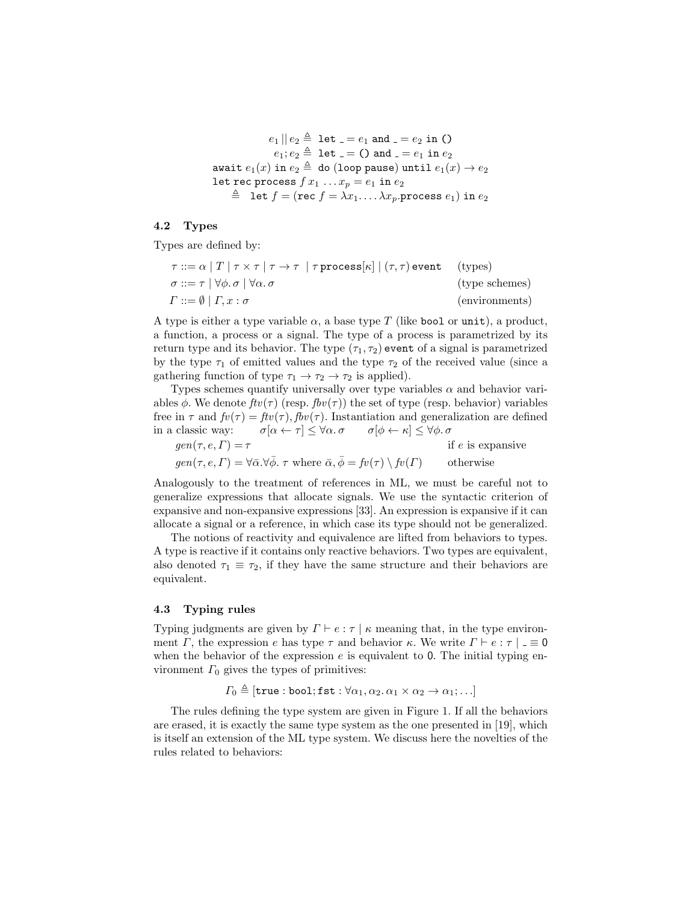$$
e_1 \parallel e_2 \triangleq \text{let }_{-} = e_1 \text{ and }_{-} = e_2 \text{ in ()}
$$
\n
$$
e_1; e_2 \triangleq \text{ let }_{-} = (\text{) and }_{-} = e_1 \text{ in } e_2
$$
\n
$$
\text{await } e_1(x) \text{ in } e_2 \triangleq \text{ do (loop pause) until } e_1(x) \to e_2
$$
\n
$$
\text{let rec process } f x_1 \dots x_p = e_1 \text{ in } e_2
$$
\n
$$
\triangleq \text{ let } f = (\text{rec } f = \lambda x_1, \dots \lambda x_p, \text{process } e_1) \text{ in } e_2
$$

# 4.2 Types

Types are defined by:

$$
\tau ::= \alpha | T | \tau \times \tau | \tau \to \tau | \tau \text{ process}[ \kappa ] | (\tau, \tau) \text{ event } (\text{types})
$$
  
\n
$$
\sigma ::= \tau | \forall \phi. \sigma | \forall \alpha. \sigma
$$
 (type schemes)  
\n
$$
\Gamma ::= \emptyset | T, x : \sigma
$$
 (environments)

A type is either a type variable  $\alpha$ , a base type T (like bool or unit), a product, a function, a process or a signal. The type of a process is parametrized by its return type and its behavior. The type  $(\tau_1, \tau_2)$  event of a signal is parametrized by the type  $\tau_1$  of emitted values and the type  $\tau_2$  of the received value (since a gathering function of type  $\tau_1 \to \tau_2 \to \tau_2$  is applied).

Types schemes quantify universally over type variables  $\alpha$  and behavior variables  $\phi$ . We denote  $ftv(\tau)$  (resp.  $fbv(\tau)$ ) the set of type (resp. behavior) variables free in  $\tau$  and  $fv(\tau) = ftv(\tau)$ ,  $fbv(\tau)$ . Instantiation and generalization are defined in a classic way:  $\sigma[\alpha \leftarrow \tau] \leq \forall \alpha \cdot \sigma \qquad \sigma[\phi \leftarrow \kappa] \leq \forall \phi \cdot \sigma$ 

 $gen(\tau, e, \Gamma) = \tau$  if e is expansive  $gen(\tau, e, \Gamma) = \forall \bar{\alpha} . \forall \bar{\phi} . \tau$  where  $\bar{\alpha}, \bar{\phi} = fv(\tau) \setminus fv(\Gamma)$  otherwise

Analogously to the treatment of references in ML, we must be careful not to generalize expressions that allocate signals. We use the syntactic criterion of expansive and non-expansive expressions [\[33\]](#page-17-3). An expression is expansive if it can allocate a signal or a reference, in which case its type should not be generalized.

The notions of reactivity and equivalence are lifted from behaviors to types. A type is reactive if it contains only reactive behaviors. Two types are equivalent, also denoted  $\tau_1 \equiv \tau_2$ , if they have the same structure and their behaviors are equivalent.

#### 4.3 Typing rules

Typing judgments are given by  $\Gamma \vdash e : \tau \mid \kappa$  meaning that, in the type environment Γ, the expression e has type  $\tau$  and behavior  $\kappa$ . We write  $\Gamma \vdash e : \tau \rvert = 0$ when the behavior of the expression  $e$  is equivalent to 0. The initial typing environment  $\Gamma_0$  gives the types of primitives:

$$
\varGamma_0 \triangleq [\mathtt{true}:\mathtt{bool};\mathtt{fst}:\forall \alpha_1,\alpha_2.\, \alpha_1 \times \alpha_2 \rightarrow \alpha_1;\ldots]
$$

The rules defining the type system are given in Figure [1.](#page-9-0) If all the behaviors are erased, it is exactly the same type system as the one presented in [\[19\]](#page-16-4), which is itself an extension of the ML type system. We discuss here the novelties of the rules related to behaviors: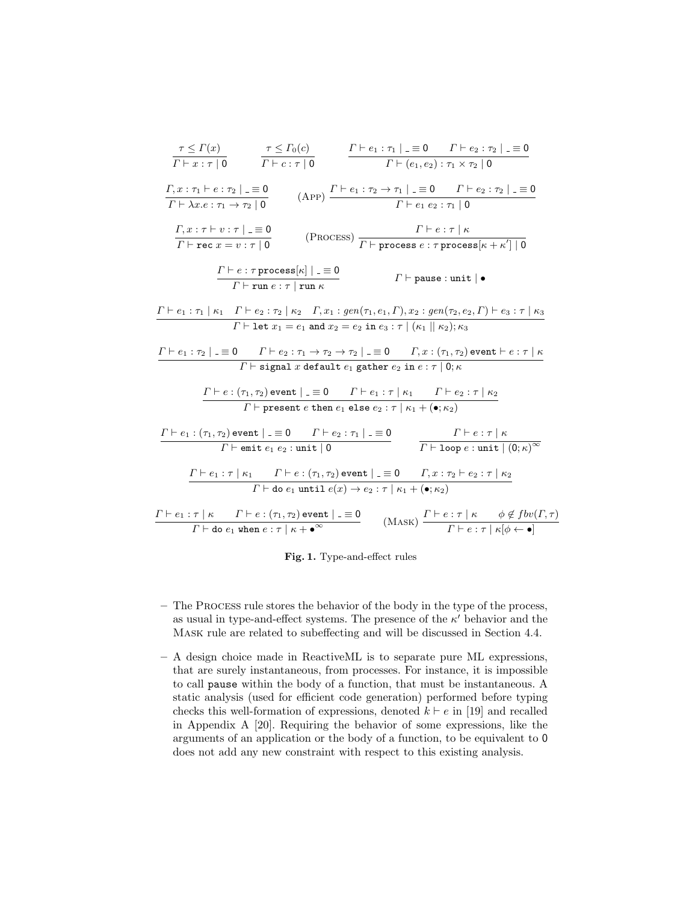

<span id="page-9-0"></span>Fig. 1. Type-and-effect rules

- The Process rule stores the behavior of the body in the type of the process, as usual in type-and-effect systems. The presence of the  $\kappa'$  behavior and the Mask rule are related to subeffecting and will be discussed in Section [4.4.](#page-10-0)
- A design choice made in ReactiveML is to separate pure ML expressions, that are surely instantaneous, from processes. For instance, it is impossible to call pause within the body of a function, that must be instantaneous. A static analysis (used for efficient code generation) performed before typing checks this well-formation of expressions, denoted  $k \vdash e$  in [\[19\]](#page-16-4) and recalled in Appendix A [\[20\]](#page-16-10). Requiring the behavior of some expressions, like the arguments of an application or the body of a function, to be equivalent to 0 does not add any new constraint with respect to this existing analysis.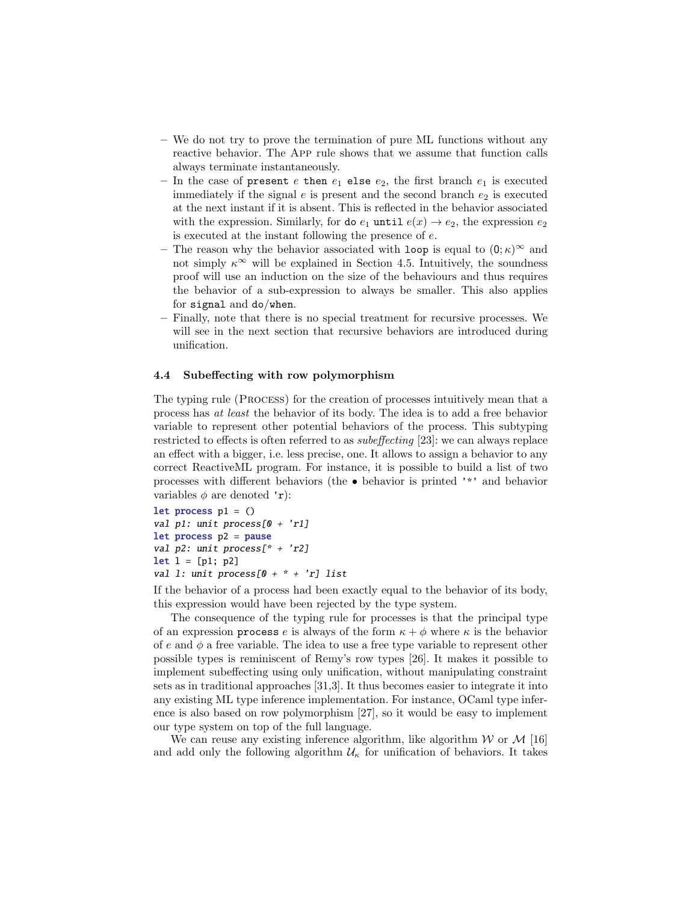- We do not try to prove the termination of pure ML functions without any reactive behavior. The App rule shows that we assume that function calls always terminate instantaneously.
- In the case of present  $e$  then  $e_1$  else  $e_2$ , the first branch  $e_1$  is executed immediately if the signal  $e$  is present and the second branch  $e_2$  is executed at the next instant if it is absent. This is reflected in the behavior associated with the expression. Similarly, for do  $e_1$  until  $e(x) \rightarrow e_2$ , the expression  $e_2$ is executed at the instant following the presence of e.
- The reason why the behavior associated with loop is equal to  $(0;\kappa)^\infty$  and not simply  $\kappa^{\infty}$  will be explained in Section [4.5.](#page-11-0) Intuitively, the soundness proof will use an induction on the size of the behaviours and thus requires the behavior of a sub-expression to always be smaller. This also applies for signal and do/when.
- Finally, note that there is no special treatment for recursive processes. We will see in the next section that recursive behaviors are introduced during unification.

### <span id="page-10-0"></span>4.4 Subeffecting with row polymorphism

The typing rule (Process) for the creation of processes intuitively mean that a process has at least the behavior of its body. The idea is to add a free behavior variable to represent other potential behaviors of the process. This subtyping restricted to effects is often referred to as subeffecting [\[23\]](#page-16-8): we can always replace an effect with a bigger, i.e. less precise, one. It allows to assign a behavior to any correct ReactiveML program. For instance, it is possible to build a list of two processes with different behaviors (the • behavior is printed '\*' and behavior variables  $\phi$  are denoted 'r):

```
let process p1 = ()val p1: unit process[0 + 'r1]
let process p2 = pause
val p2: unit process[* + 'r2]
let 1 = [p1; p2]val 1: unit process[0 + * + 'r] list
```
If the behavior of a process had been exactly equal to the behavior of its body, this expression would have been rejected by the type system.

The consequence of the typing rule for processes is that the principal type of an expression process e is always of the form  $\kappa + \phi$  where  $\kappa$  is the behavior of e and  $\phi$  a free variable. The idea to use a free type variable to represent other possible types is reminiscent of Remy's row types [\[26\]](#page-17-2). It makes it possible to implement subeffecting using only unification, without manipulating constraint sets as in traditional approaches [\[31,](#page-17-4)[3\]](#page-16-7). It thus becomes easier to integrate it into any existing ML type inference implementation. For instance, OCaml type inference is also based on row polymorphism [\[27\]](#page-17-5), so it would be easy to implement our type system on top of the full language.

We can reuse any existing inference algorithm, like algorithm  $W$  or  $\mathcal{M}$  [\[16\]](#page-16-11) and add only the following algorithm  $\mathcal{U}_{\kappa}$  for unification of behaviors. It takes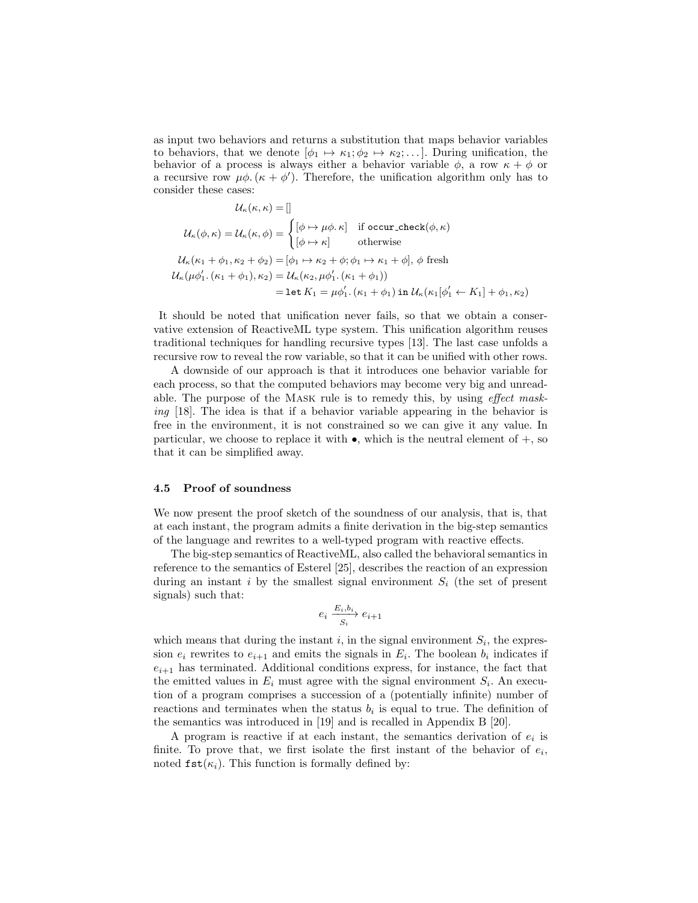as input two behaviors and returns a substitution that maps behavior variables to behaviors, that we denote  $[\phi_1 \mapsto \kappa_1; \phi_2 \mapsto \kappa_2; \dots]$ . During unification, the behavior of a process is always either a behavior variable  $\phi$ , a row  $\kappa + \phi$  or a recursive row  $\mu\phi$ . ( $\kappa + \phi'$ ). Therefore, the unification algorithm only has to consider these cases:

$$
\mathcal{U}_{\kappa}(\kappa, \kappa) = []
$$
  
\n
$$
\mathcal{U}_{\kappa}(\phi, \kappa) = \mathcal{U}_{\kappa}(\kappa, \phi) = \begin{cases} [\phi \mapsto \mu\phi \cdot \kappa] & \text{if occur\_check}(\phi, \kappa) \\ [\phi \mapsto \kappa] & \text{otherwise} \end{cases}
$$
  
\n
$$
\mathcal{U}_{\kappa}(\kappa_1 + \phi_1, \kappa_2 + \phi_2) = [\phi_1 \mapsto \kappa_2 + \phi; \phi_1 \mapsto \kappa_1 + \phi], \phi \text{ fresh}
$$
  
\n
$$
\mathcal{U}_{\kappa}(\mu\phi'_1.(\kappa_1 + \phi_1), \kappa_2) = \mathcal{U}_{\kappa}(\kappa_2, \mu\phi'_1.(\kappa_1 + \phi_1))
$$
  
\n
$$
= \text{let } K_1 = \mu\phi'_1.(\kappa_1 + \phi_1) \text{ in } \mathcal{U}_{\kappa}(\kappa_1[\phi'_1 \leftarrow K_1] + \phi_1, \kappa_2)
$$

It should be noted that unification never fails, so that we obtain a conservative extension of ReactiveML type system. This unification algorithm reuses traditional techniques for handling recursive types [\[13\]](#page-16-12). The last case unfolds a recursive row to reveal the row variable, so that it can be unified with other rows.

A downside of our approach is that it introduces one behavior variable for each process, so that the computed behaviors may become very big and unreadable. The purpose of the Mask rule is to remedy this, by using effect masking [\[18\]](#page-16-6). The idea is that if a behavior variable appearing in the behavior is free in the environment, it is not constrained so we can give it any value. In particular, we choose to replace it with  $\bullet$ , which is the neutral element of  $+$ , so that it can be simplified away.

### <span id="page-11-0"></span>4.5 Proof of soundness

We now present the proof sketch of the soundness of our analysis, that is, that at each instant, the program admits a finite derivation in the big-step semantics of the language and rewrites to a well-typed program with reactive effects.

The big-step semantics of ReactiveML, also called the behavioral semantics in reference to the semantics of Esterel [\[25\]](#page-16-13), describes the reaction of an expression during an instant i by the smallest signal environment  $S_i$  (the set of present signals) such that:

$$
e_i \xrightarrow[S_i]{E_i, b_i} e_{i+1}
$$

which means that during the instant  $i$ , in the signal environment  $S_i$ , the expression  $e_i$  rewrites to  $e_{i+1}$  and emits the signals in  $E_i$ . The boolean  $b_i$  indicates if  $e_{i+1}$  has terminated. Additional conditions express, for instance, the fact that the emitted values in  $E_i$  must agree with the signal environment  $S_i$ . An execution of a program comprises a succession of a (potentially infinite) number of reactions and terminates when the status  $b_i$  is equal to true. The definition of the semantics was introduced in [\[19\]](#page-16-4) and is recalled in Appendix B [\[20\]](#page-16-10).

A program is reactive if at each instant, the semantics derivation of  $e_i$  is finite. To prove that, we first isolate the first instant of the behavior of  $e_i$ , noted  $\texttt{fst}(\kappa_i)$ . This function is formally defined by: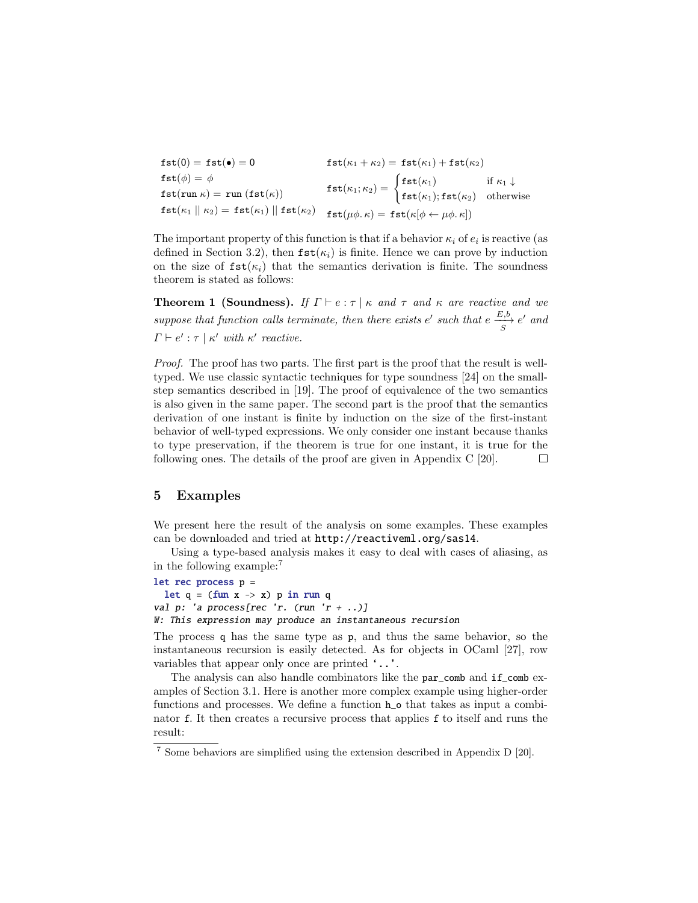```
\texttt{fst}(0) = \texttt{fst}(\bullet) = 0\texttt{fst}(\phi) = \phi\texttt{fst}(\texttt{run} \ \kappa) = \texttt{run} \ (\texttt{fst}(\kappa))\mathsf{fst}(\kappa_1 \mid \mid \kappa_2) = \mathsf{fst}(\kappa_1) \mid \mid \mathsf{fst}(\kappa_2) \mid\texttt{fst}(\kappa_1 + \kappa_2) = \texttt{fst}(\kappa_1) + \texttt{fst}(\kappa_2)\texttt{fst}(\kappa_1; \kappa_2) = \begin{cases} \texttt{fst}(\kappa_1) & \text{if } \kappa_1 \downarrow \\ \texttt{a} & \text{if } \kappa_2 \downarrow \end{cases}\texttt{fst}(\kappa_1); \texttt{fst}(\kappa_2) otherwise
                                                                                                 \texttt{fst}(\mu\phi.\kappa) = \texttt{fst}(\kappa[\phi \leftarrow \mu\phi.\kappa])
```
The important property of this function is that if a behavior  $\kappa_i$  of  $e_i$  is reactive (as defined in Section [3.2\)](#page-5-0), then  $\text{fst}(\kappa_i)$  is finite. Hence we can prove by induction on the size of  $fst(\kappa_i)$  that the semantics derivation is finite. The soundness theorem is stated as follows:

**Theorem 1 (Soundness).** If  $\Gamma \vdash e : \tau \mid \kappa$  and  $\tau$  and  $\kappa$  are reactive and we suppose that function calls terminate, then there exists  $e'$  such that  $e \frac{E, b}{S} e'$  and  $\Gamma \vdash e' : \tau \mid \kappa'$  with  $\kappa'$  reactive.

Proof. The proof has two parts. The first part is the proof that the result is welltyped. We use classic syntactic techniques for type soundness [\[24\]](#page-16-14) on the smallstep semantics described in [\[19\]](#page-16-4). The proof of equivalence of the two semantics is also given in the same paper. The second part is the proof that the semantics derivation of one instant is finite by induction on the size of the first-instant behavior of well-typed expressions. We only consider one instant because thanks to type preservation, if the theorem is true for one instant, it is true for the following ones. The details of the proof are given in Appendix C [\[20\]](#page-16-10).  $\Box$ 

### <span id="page-12-0"></span>5 Examples

We present here the result of the analysis on some examples. These examples can be downloaded and tried at <http://reactiveml.org/sas14>.

Using a type-based analysis makes it easy to deal with cases of aliasing, as in the following example:[7](#page-12-1)

```
let rec process p =let q = (fun x \rightarrow x) p in run q
val p: 'a process[rec 'r. (run 'r + ..)]
W: This expression may produce an instantaneous recursion
```
The process q has the same type as p, and thus the same behavior, so the instantaneous recursion is easily detected. As for objects in OCaml [\[27\]](#page-17-5), row variables that appear only once are printed '..'.

The analysis can also handle combinators like the par\_comb and if\_comb examples of Section [3.1.](#page-4-2) Here is another more complex example using higher-order functions and processes. We define a function h\_o that takes as input a combinator f. It then creates a recursive process that applies f to itself and runs the result:

<span id="page-12-1"></span><sup>7</sup> Some behaviors are simplified using the extension described in Appendix D [\[20\]](#page-16-10).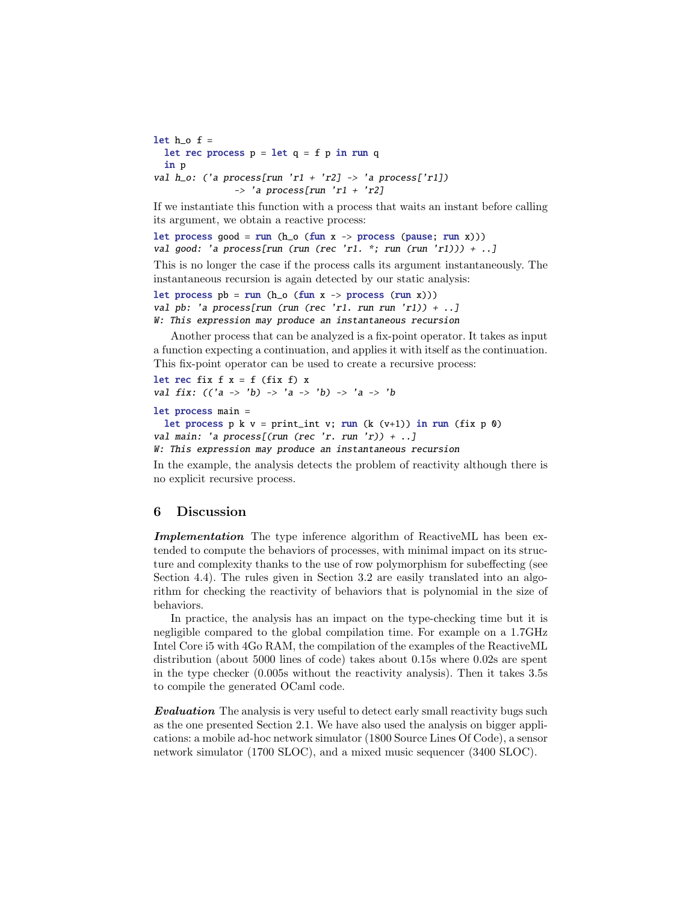```
let h_0 f =let rec process p = let q = f p in run qin p
val h_0: ('a process[run 'r1 + 'r2] -> 'a process['r1])
                \rightarrow 'a process[run 'r1 + 'r2]
```
If we instantiate this function with a process that waits an instant before calling its argument, we obtain a reactive process:

```
let process good = run (h_0 (fun x \rightarrow process (pause; run x)))val good: 'a process[run (run (rec 'r1. *; run (run 'r1))) + ..]
```
This is no longer the case if the process calls its argument instantaneously. The instantaneous recursion is again detected by our static analysis:

```
let process pb = run (h_0 (fun x -> process (run x)))val pb: 'a process[run (run (rec 'r1. run run 'r1)) + ..]
W: This expression may produce an instantaneous recursion
```
Another process that can be analyzed is a fix-point operator. It takes as input a function expecting a continuation, and applies it with itself as the continuation. This fix-point operator can be used to create a recursive process:

```
let rec fix f(x) = f(f(x)) x
val fix: ((a \rightarrow 'b) \rightarrow 'a \rightarrow 'b) \rightarrow 'a \rightarrow 'b)
```

```
let process main =
```

```
let process p k v = print\_int v; run (k (v+1)) in run (fix p 0)
val main: 'a process[(run (rec 'r. run 'r)) + ..]
W: This expression may produce an instantaneous recursion
```
In the example, the analysis detects the problem of reactivity although there is no explicit recursive process.

# <span id="page-13-0"></span>6 Discussion

Implementation The type inference algorithm of ReactiveML has been extended to compute the behaviors of processes, with minimal impact on its structure and complexity thanks to the use of row polymorphism for subeffecting (see Section [4.4\)](#page-10-0). The rules given in Section [3.2](#page-5-0) are easily translated into an algorithm for checking the reactivity of behaviors that is polynomial in the size of behaviors.

In practice, the analysis has an impact on the type-checking time but it is negligible compared to the global compilation time. For example on a 1.7GHz Intel Core i5 with 4Go RAM, the compilation of the examples of the ReactiveML distribution (about 5000 lines of code) takes about 0.15s where 0.02s are spent in the type checker (0.005s without the reactivity analysis). Then it takes 3.5s to compile the generated OCaml code.

**Evaluation** The analysis is very useful to detect early small reactivity bugs such as the one presented Section [2.1.](#page-2-1) We have also used the analysis on bigger applications: a mobile ad-hoc network simulator (1800 Source Lines Of Code), a sensor network simulator (1700 SLOC), and a mixed music sequencer (3400 SLOC).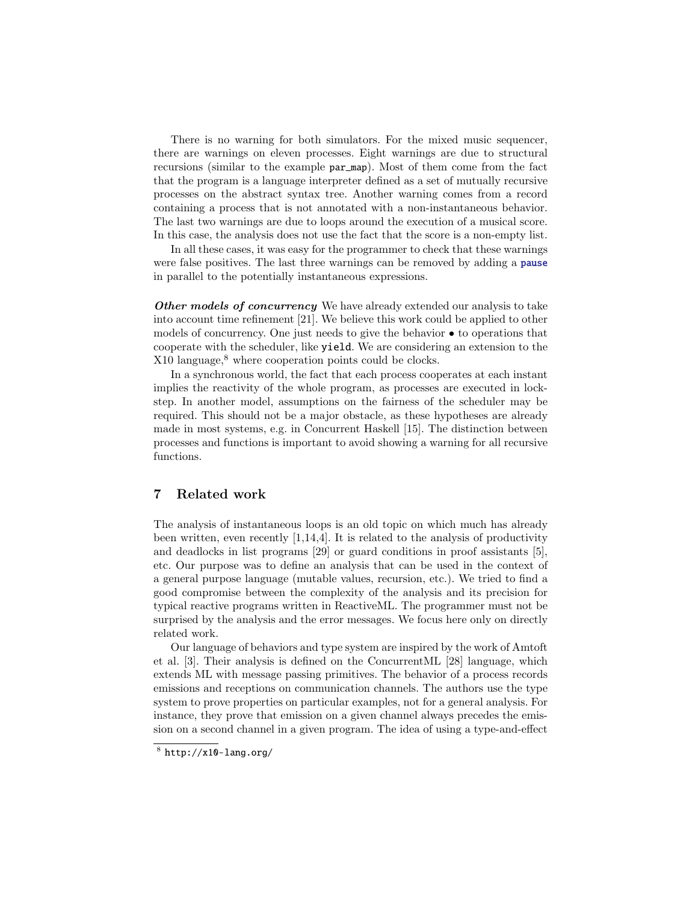There is no warning for both simulators. For the mixed music sequencer, there are warnings on eleven processes. Eight warnings are due to structural recursions (similar to the example par\_map). Most of them come from the fact that the program is a language interpreter defined as a set of mutually recursive processes on the abstract syntax tree. Another warning comes from a record containing a process that is not annotated with a non-instantaneous behavior. The last two warnings are due to loops around the execution of a musical score. In this case, the analysis does not use the fact that the score is a non-empty list.

In all these cases, it was easy for the programmer to check that these warnings were false positives. The last three warnings can be removed by adding a **pause** in parallel to the potentially instantaneous expressions.

<span id="page-14-0"></span>Other models of concurrency We have already extended our analysis to take into account time refinement [\[21\]](#page-16-15). We believe this work could be applied to other models of concurrency. One just needs to give the behavior • to operations that cooperate with the scheduler, like yield. We are considering an extension to the  $X10$  language,<sup>[8](#page-14-2)</sup> where cooperation points could be clocks.

In a synchronous world, the fact that each process cooperates at each instant implies the reactivity of the whole program, as processes are executed in lockstep. In another model, assumptions on the fairness of the scheduler may be required. This should not be a major obstacle, as these hypotheses are already made in most systems, e.g. in Concurrent Haskell [\[15\]](#page-16-1). The distinction between processes and functions is important to avoid showing a warning for all recursive functions.

# <span id="page-14-1"></span>7 Related work

The analysis of instantaneous loops is an old topic on which much has already been written, even recently [\[1](#page-16-16)[,14,](#page-16-17)[4\]](#page-16-18). It is related to the analysis of productivity and deadlocks in list programs [\[29\]](#page-17-6) or guard conditions in proof assistants [\[5\]](#page-16-19), etc. Our purpose was to define an analysis that can be used in the context of a general purpose language (mutable values, recursion, etc.). We tried to find a good compromise between the complexity of the analysis and its precision for typical reactive programs written in ReactiveML. The programmer must not be surprised by the analysis and the error messages. We focus here only on directly related work.

Our language of behaviors and type system are inspired by the work of Amtoft et al. [\[3\]](#page-16-7). Their analysis is defined on the ConcurrentML [\[28\]](#page-17-7) language, which extends ML with message passing primitives. The behavior of a process records emissions and receptions on communication channels. The authors use the type system to prove properties on particular examples, not for a general analysis. For instance, they prove that emission on a given channel always precedes the emission on a second channel in a given program. The idea of using a type-and-effect

<span id="page-14-2"></span> $8$  <http://x10-lang.org/>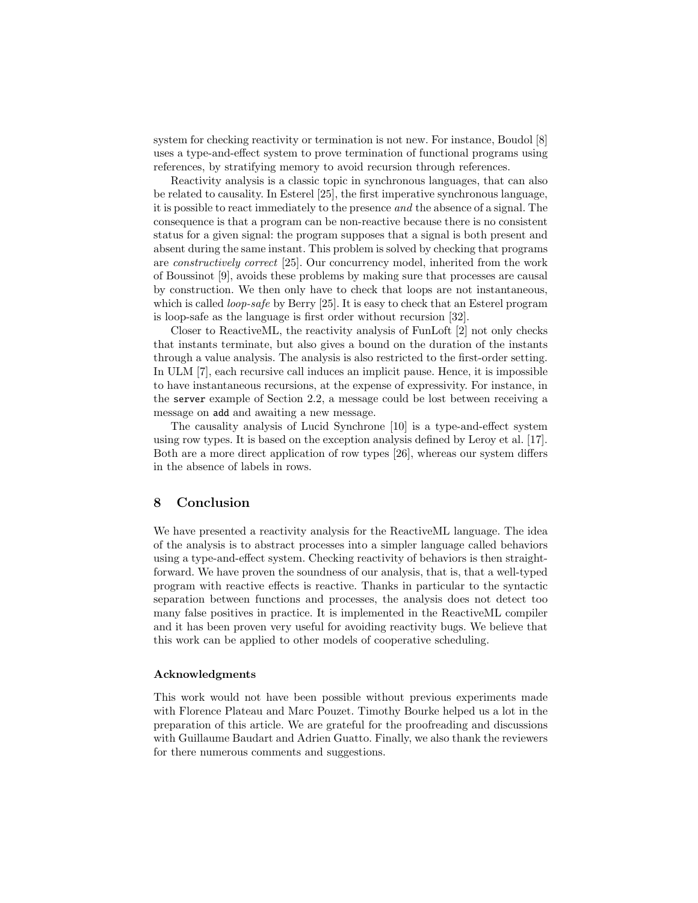system for checking reactivity or termination is not new. For instance, Boudol [\[8\]](#page-16-20) uses a type-and-effect system to prove termination of functional programs using references, by stratifying memory to avoid recursion through references.

Reactivity analysis is a classic topic in synchronous languages, that can also be related to causality. In Esterel [\[25\]](#page-16-13), the first imperative synchronous language, it is possible to react immediately to the presence and the absence of a signal. The consequence is that a program can be non-reactive because there is no consistent status for a given signal: the program supposes that a signal is both present and absent during the same instant. This problem is solved by checking that programs are constructively correct [\[25\]](#page-16-13). Our concurrency model, inherited from the work of Boussinot [\[9\]](#page-16-9), avoids these problems by making sure that processes are causal by construction. We then only have to check that loops are not instantaneous, which is called *loop-safe* by Berry [\[25\]](#page-16-13). It is easy to check that an Esterel program is loop-safe as the language is first order without recursion [\[32\]](#page-17-8).

Closer to ReactiveML, the reactivity analysis of FunLoft [\[2\]](#page-16-21) not only checks that instants terminate, but also gives a bound on the duration of the instants through a value analysis. The analysis is also restricted to the first-order setting. In ULM [\[7\]](#page-16-22), each recursive call induces an implicit pause. Hence, it is impossible to have instantaneous recursions, at the expense of expressivity. For instance, in the server example of Section [2.2,](#page-3-0) a message could be lost between receiving a message on add and awaiting a new message.

The causality analysis of Lucid Synchrone [\[10\]](#page-16-23) is a type-and-effect system using row types. It is based on the exception analysis defined by Leroy et al. [\[17\]](#page-16-24). Both are a more direct application of row types [\[26\]](#page-17-2), whereas our system differs in the absence of labels in rows.

### 8 Conclusion

We have presented a reactivity analysis for the ReactiveML language. The idea of the analysis is to abstract processes into a simpler language called behaviors using a type-and-effect system. Checking reactivity of behaviors is then straightforward. We have proven the soundness of our analysis, that is, that a well-typed program with reactive effects is reactive. Thanks in particular to the syntactic separation between functions and processes, the analysis does not detect too many false positives in practice. It is implemented in the ReactiveML compiler and it has been proven very useful for avoiding reactivity bugs. We believe that this work can be applied to other models of cooperative scheduling.

### Acknowledgments

This work would not have been possible without previous experiments made with Florence Plateau and Marc Pouzet. Timothy Bourke helped us a lot in the preparation of this article. We are grateful for the proofreading and discussions with Guillaume Baudart and Adrien Guatto. Finally, we also thank the reviewers for there numerous comments and suggestions.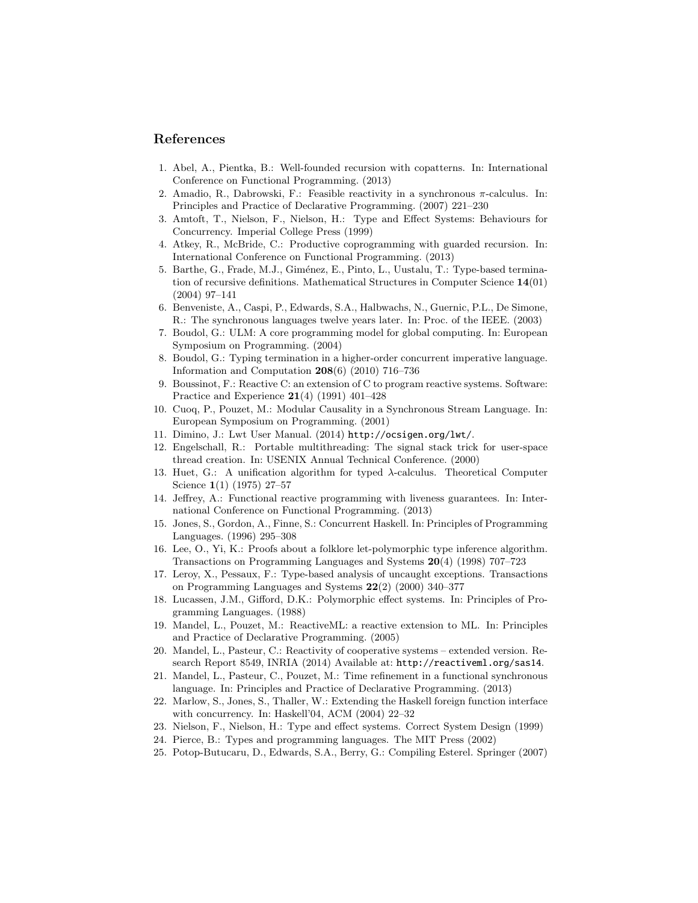# References

- <span id="page-16-16"></span>1. Abel, A., Pientka, B.: Well-founded recursion with copatterns. In: International Conference on Functional Programming. (2013)
- <span id="page-16-21"></span>2. Amadio, R., Dabrowski, F.: Feasible reactivity in a synchronous  $\pi$ -calculus. In: Principles and Practice of Declarative Programming. (2007) 221–230
- <span id="page-16-7"></span>3. Amtoft, T., Nielson, F., Nielson, H.: Type and Effect Systems: Behaviours for Concurrency. Imperial College Press (1999)
- <span id="page-16-18"></span>4. Atkey, R., McBride, C.: Productive coprogramming with guarded recursion. In: International Conference on Functional Programming. (2013)
- <span id="page-16-19"></span>5. Barthe, G., Frade, M.J., Giménez, E., Pinto, L., Uustalu, T.: Type-based termination of recursive definitions. Mathematical Structures in Computer Science  $14(01)$ (2004) 97–141
- <span id="page-16-5"></span>6. Benveniste, A., Caspi, P., Edwards, S.A., Halbwachs, N., Guernic, P.L., De Simone, R.: The synchronous languages twelve years later. In: Proc. of the IEEE. (2003)
- <span id="page-16-22"></span>7. Boudol, G.: ULM: A core programming model for global computing. In: European Symposium on Programming. (2004)
- <span id="page-16-20"></span>8. Boudol, G.: Typing termination in a higher-order concurrent imperative language. Information and Computation 208(6) (2010) 716–736
- <span id="page-16-9"></span>9. Boussinot, F.: Reactive C: an extension of C to program reactive systems. Software: Practice and Experience 21(4) (1991) 401–428
- <span id="page-16-23"></span>10. Cuoq, P., Pouzet, M.: Modular Causality in a Synchronous Stream Language. In: European Symposium on Programming. (2001)
- <span id="page-16-3"></span>11. Dimino, J.: Lwt User Manual. (2014) <http://ocsigen.org/lwt/>.
- <span id="page-16-0"></span>12. Engelschall, R.: Portable multithreading: The signal stack trick for user-space thread creation. In: USENIX Annual Technical Conference. (2000)
- <span id="page-16-12"></span>13. Huet, G.: A unification algorithm for typed  $\lambda$ -calculus. Theoretical Computer Science 1(1) (1975) 27–57
- <span id="page-16-17"></span>14. Jeffrey, A.: Functional reactive programming with liveness guarantees. In: International Conference on Functional Programming. (2013)
- <span id="page-16-1"></span>15. Jones, S., Gordon, A., Finne, S.: Concurrent Haskell. In: Principles of Programming Languages. (1996) 295–308
- <span id="page-16-11"></span>16. Lee, O., Yi, K.: Proofs about a folklore let-polymorphic type inference algorithm. Transactions on Programming Languages and Systems 20(4) (1998) 707–723
- <span id="page-16-24"></span>17. Leroy, X., Pessaux, F.: Type-based analysis of uncaught exceptions. Transactions on Programming Languages and Systems 22(2) (2000) 340–377
- <span id="page-16-6"></span>18. Lucassen, J.M., Gifford, D.K.: Polymorphic effect systems. In: Principles of Programming Languages. (1988)
- <span id="page-16-4"></span>19. Mandel, L., Pouzet, M.: ReactiveML: a reactive extension to ML. In: Principles and Practice of Declarative Programming. (2005)
- <span id="page-16-10"></span>20. Mandel, L., Pasteur, C.: Reactivity of cooperative systems – extended version. Research Report 8549, INRIA (2014) Available at: <http://reactiveml.org/sas14>.
- <span id="page-16-15"></span>21. Mandel, L., Pasteur, C., Pouzet, M.: Time refinement in a functional synchronous language. In: Principles and Practice of Declarative Programming. (2013)
- <span id="page-16-2"></span>22. Marlow, S., Jones, S., Thaller, W.: Extending the Haskell foreign function interface with concurrency. In: Haskell'04, ACM (2004) 22–32
- <span id="page-16-8"></span>23. Nielson, F., Nielson, H.: Type and effect systems. Correct System Design (1999)
- <span id="page-16-14"></span>24. Pierce, B.: Types and programming languages. The MIT Press (2002)
- <span id="page-16-13"></span>25. Potop-Butucaru, D., Edwards, S.A., Berry, G.: Compiling Esterel. Springer (2007)